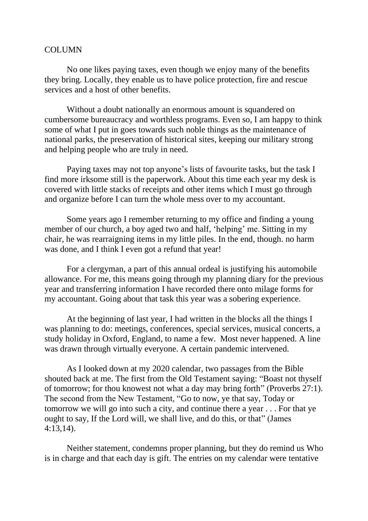## **COLUMN**

No one likes paying taxes, even though we enjoy many of the benefits they bring. Locally, they enable us to have police protection, fire and rescue services and a host of other benefits.

Without a doubt nationally an enormous amount is squandered on cumbersome bureaucracy and worthless programs. Even so, I am happy to think some of what I put in goes towards such noble things as the maintenance of national parks, the preservation of historical sites, keeping our military strong and helping people who are truly in need.

Paying taxes may not top anyone's lists of favourite tasks, but the task I find more irksome still is the paperwork. About this time each year my desk is covered with little stacks of receipts and other items which I must go through and organize before I can turn the whole mess over to my accountant.

Some years ago I remember returning to my office and finding a young member of our church, a boy aged two and half, 'helping' me. Sitting in my chair, he was rearraigning items in my little piles. In the end, though. no harm was done, and I think I even got a refund that year!

For a clergyman, a part of this annual ordeal is justifying his automobile allowance. For me, this means going through my planning diary for the previous year and transferring information I have recorded there onto milage forms for my accountant. Going about that task this year was a sobering experience.

At the beginning of last year, I had written in the blocks all the things I was planning to do: meetings, conferences, special services, musical concerts, a study holiday in Oxford, England, to name a few. Most never happened. A line was drawn through virtually everyone. A certain pandemic intervened.

As I looked down at my 2020 calendar, two passages from the Bible shouted back at me. The first from the Old Testament saying: "Boast not thyself of tomorrow; for thou knowest not what a day may bring forth" (Proverbs 27:1). The second from the New Testament, "Go to now, ye that say, Today or tomorrow we will go into such a city, and continue there a year . . . For that ye ought to say, If the Lord will, we shall live, and do this, or that" (James 4:13,14).

Neither statement, condemns proper planning, but they do remind us Who is in charge and that each day is gift. The entries on my calendar were tentative